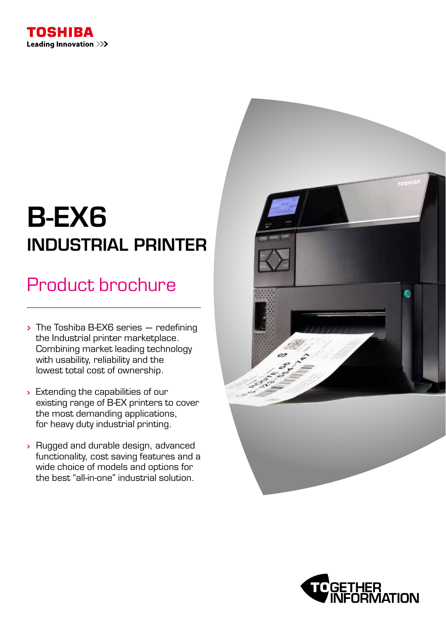

# B-EX6 INDUSTRIAL PRINTER

### Product brochure

- $\rightarrow$  The Toshiba B-EX6 series  $-$  redefining the Industrial printer marketplace. Combining market leading technology with usability, reliability and the lowest total cost of ownership.
- > Extending the capabilities of our existing range of B-EX printers to cover the most demanding applications, for heavy duty industrial printing.
- Rugged and durable design, advanced functionality, cost saving features and a wide choice of models and options for the best "all-in-one" industrial solution.



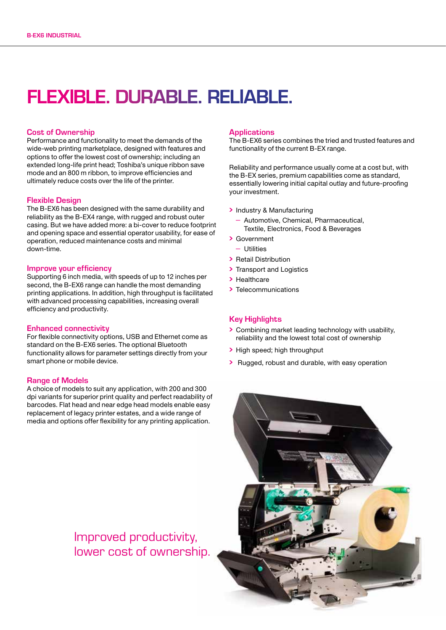### FLEXIBLE. DURABLE. RELIABLE.

### Cost of Ownership

Performance and functionality to meet the demands of the wide-web printing marketplace, designed with features and options to offer the lowest cost of ownership; including an extended long-life print head; Toshiba's unique ribbon save mode and an 800 m ribbon, to improve efficiencies and ultimately reduce costs over the life of the printer.

### Flexible Design

The B-EX6 has been designed with the same durability and reliability as the B-EX4 range, with rugged and robust outer casing. But we have added more: a bi-cover to reduce footprint and opening space and essential operator usability, for ease of operation, reduced maintenance costs and minimal down-time.

#### Improve your efficiency

Supporting 6 inch media, with speeds of up to 12 inches per second, the B-EX6 range can handle the most demanding printing applications. In addition, high throughput is facilitated with advanced processing capabilities, increasing overall efficiency and productivity.

#### Enhanced connectivity

For flexible connectivity options, USB and Ethernet come as standard on the B-EX6 series. The optional Bluetooth functionality allows for parameter settings directly from your smart phone or mobile device.

### Range of Models

A choice of models to suit any application, with 200 and 300 dpi variants for superior print quality and perfect readability of barcodes. Flat head and near edge head models enable easy replacement of legacy printer estates, and a wide range of media and options offer flexibility for any printing application.

> Improved productivity, lower cost of ownership.

#### **Applications**

The B-EX6 series combines the tried and trusted features and functionality of the current B-EX range.

Reliability and performance usually come at a cost but, with the B-EX series, premium capabilities come as standard, essentially lowering initial capital outlay and future-proofing your investment.

- Industry & Manufacturing
	- Automotive, Chemical, Pharmaceutical, Textile, Electronics, Food & Beverages
- Government
	- Utilities
- Retail Distribution
- > Transport and Logistics
- > Healthcare
- > Telecommunications

### Key Highlights

- Combining market leading technology with usability, reliability and the lowest total cost of ownership
- > High speed; high throughput
- > Rugged, robust and durable, with easy operation

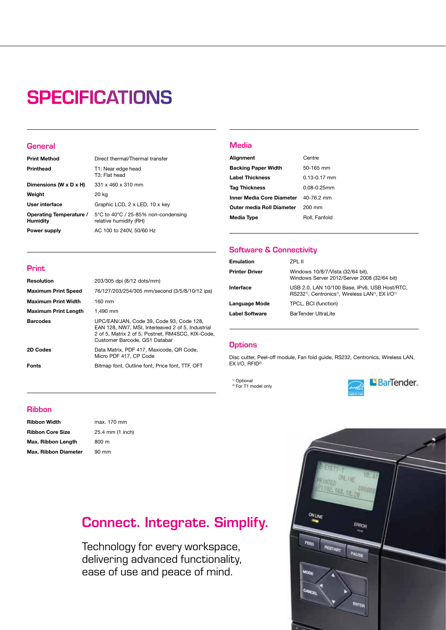## **SPECIFICATIONS**

### **General**

Print

| <b>Print Method</b>                        | Direct thermal/Thermal transfer                               |
|--------------------------------------------|---------------------------------------------------------------|
| Printhead                                  | T1: Near edge head<br>T3: Flat head                           |
| Dimensions (W x D x H)                     | 331 x 460 x 310 mm                                            |
| Weight                                     | 20 kg                                                         |
| User interface                             | Graphic LCD, 2 x LED, 10 x key                                |
| Operating Temperature /<br><b>Humidity</b> | 5°C to 40°C / 25-85% non-condensing<br>relative humidity (RH) |
| Power supply                               | AC 100 to 240V, 50/60 Hz                                      |

Resolution 203/305 dpi (8/12 dots/mm)

Maximum Print Width 160 mm Maximum Print Length 1.490 mm

Maximum Print Speed 76/127/203/254/305 mm/second (3/5/8/10/12 ips)

Barcodes UPC/EAN/JAN, Code 39, Code 93, Code 128,

2D Codes Data Matrix, PDF 417, Maxicode, QR Code, Micro PDF 417, CP Code Fonts Bitmap font, Outline font, Price font, TTF, OFT

Customer Barcode, GS1 Databar

EAN 128, NW7, MSI, Interleaved 2 of 5, Industrial 2 of 5, Matrix 2 of 5, Postnet, RM4SCC, KIX-Code,

### Media

| Alignment                                   | Centre           |
|---------------------------------------------|------------------|
| <b>Backing Paper Width</b>                  | 50-165 mm        |
| <b>Label Thickness</b>                      | $0.13 - 0.17$ mm |
| <b>Tag Thickness</b>                        | $0.08 - 0.25$ mm |
| <b>Inner Media Core Diameter</b> 40-76.2 mm |                  |
| Outer media Roll Diameter                   | 200 mm           |
| Media Type                                  | Roll, Fanfold    |

### Software & Connectivity

| <b>Emulation</b>      | 7PI 11                                                                                                                                              |
|-----------------------|-----------------------------------------------------------------------------------------------------------------------------------------------------|
| <b>Printer Driver</b> | Windows 10/8/7/Vista (32/64 bit),<br>Windows Server 2012/Server 2008 (32/64 bit)                                                                    |
| Interface             | USB 2.0, LAN 10/100 Base, IPv6, USB Host/RTC,<br>RS232 <sup>1)</sup> , Centronics <sup>1)</sup> , Wireless LAN <sup>1)</sup> , EX I/O <sup>1)</sup> |
| Language Mode         | TPCL, BCI (function)                                                                                                                                |
| Label Software        | BarTender UltraLite                                                                                                                                 |
|                       |                                                                                                                                                     |

### **Options**

Disc cutter, Peel-off module, Fan fold guide, RS232, Centronics, Wireless LAN, EX I/O, RFID<sup>2)</sup>

1) Optional <sup>2)</sup> For T1 model only



### Ribbon

| Ribbon Width            |  |  |
|-------------------------|--|--|
| <b>Ribbon Core Size</b> |  |  |
| Max. Ribbon Length      |  |  |
| Max. Ribbon Diameter    |  |  |

max. 170 mm 25.4 mm (1 inch)  $800 m$ 90 mm

### Connect. Integrate. Simplify.

Technology for every workspace, delivering advanced functionality, ease of use and peace of mind.